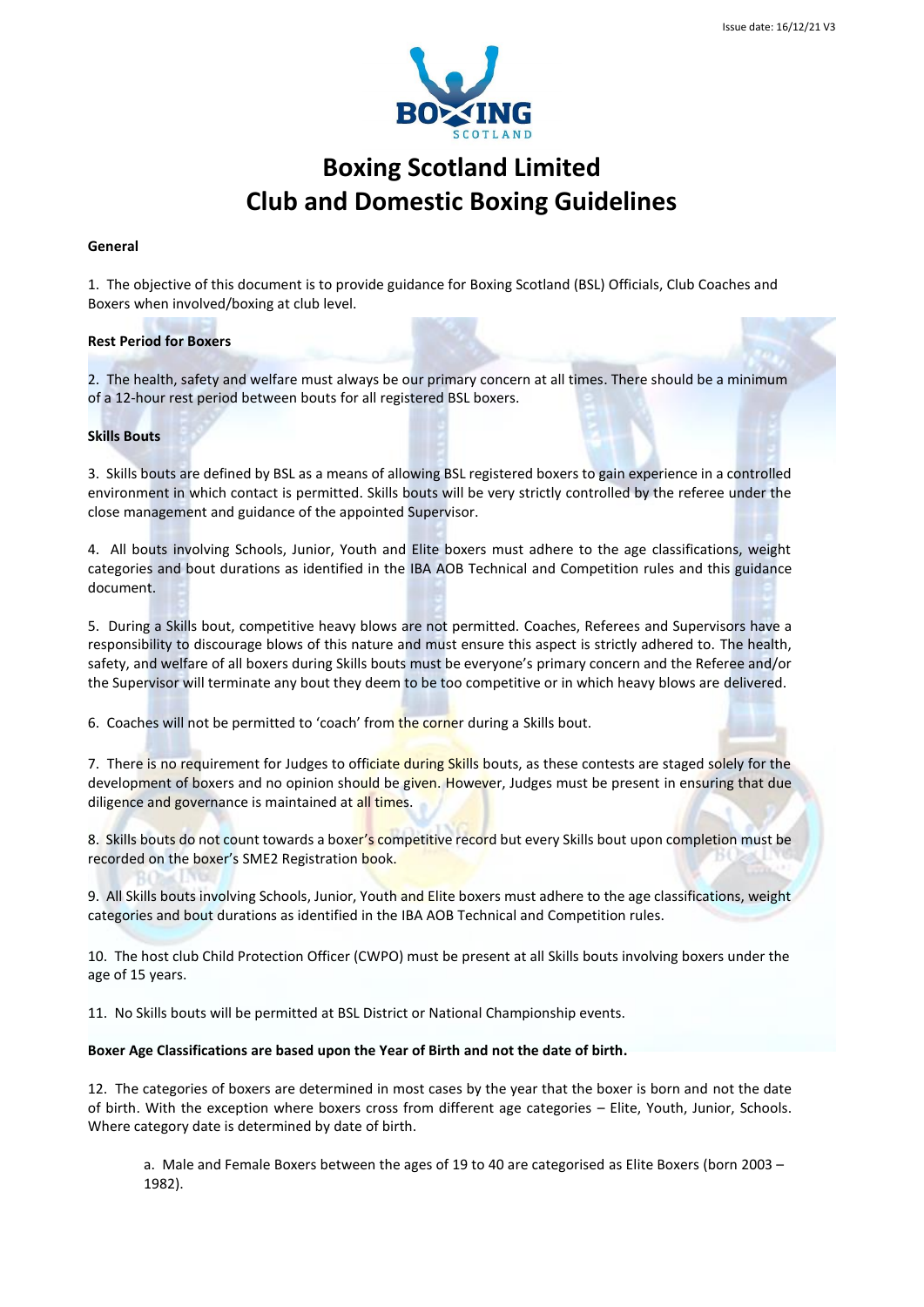

# **Boxing Scotland Limited Club and Domestic Boxing Guidelines**

#### **General**

1. The objective of this document is to provide guidance for Boxing Scotland (BSL) Officials, Club Coaches and Boxers when involved/boxing at club level.

#### **Rest Period for Boxers**

2. The health, safety and welfare must always be our primary concern at all times. There should be a minimum of a 12-hour rest period between bouts for all registered BSL boxers.

## **Skills Bouts**

3. Skills bouts are defined by BSL as a means of allowing BSL registered boxers to gain experience in a controlled environment in which contact is permitted. Skills bouts will be very strictly controlled by the referee under the close management and guidance of the appointed Supervisor.

4. All bouts involving Schools, Junior, Youth and Elite boxers must adhere to the age classifications, weight categories and bout durations as identified in the IBA AOB Technical and Competition rules and this guidance document.

5. During a Skills bout, competitive heavy blows are not permitted. Coaches, Referees and Supervisors have a responsibility to discourage blows of this nature and must ensure this aspect is strictly adhered to. The health, safety, and welfare of all boxers during Skills bouts must be everyone's primary concern and the Referee and/or the Supervisor will terminate any bout they deem to be too competitive or in which heavy blows are delivered.

6. Coaches will not be permitted to 'coach' from the corner during a Skills bout.

7. There is no requirement for Judges to officiate during Skills bouts, as these contests are staged solely for the development of boxers and no opinion should be given. However, Judges must be present in ensuring that due diligence and governance is maintained at all times.

8. Skills bouts do not count towards a boxer's competitive record but every Skills bout upon completion must be recorded on the boxer's SME2 Registration book.

9. All Skills bouts involving Schools, Junior, Youth and Elite boxers must adhere to the age classifications, weight categories and bout durations as identified in the IBA AOB Technical and Competition rules.

10. The host club Child Protection Officer (CWPO) must be present at all Skills bouts involving boxers under the age of 15 years.

11. No Skills bouts will be permitted at BSL District or National Championship events.

#### **Boxer Age Classifications are based upon the Year of Birth and not the date of birth.**

12. The categories of boxers are determined in most cases by the year that the boxer is born and not the date of birth. With the exception where boxers cross from different age categories – Elite, Youth, Junior, Schools. Where category date is determined by date of birth.

a. Male and Female Boxers between the ages of 19 to 40 are categorised as Elite Boxers (born 2003 – 1982).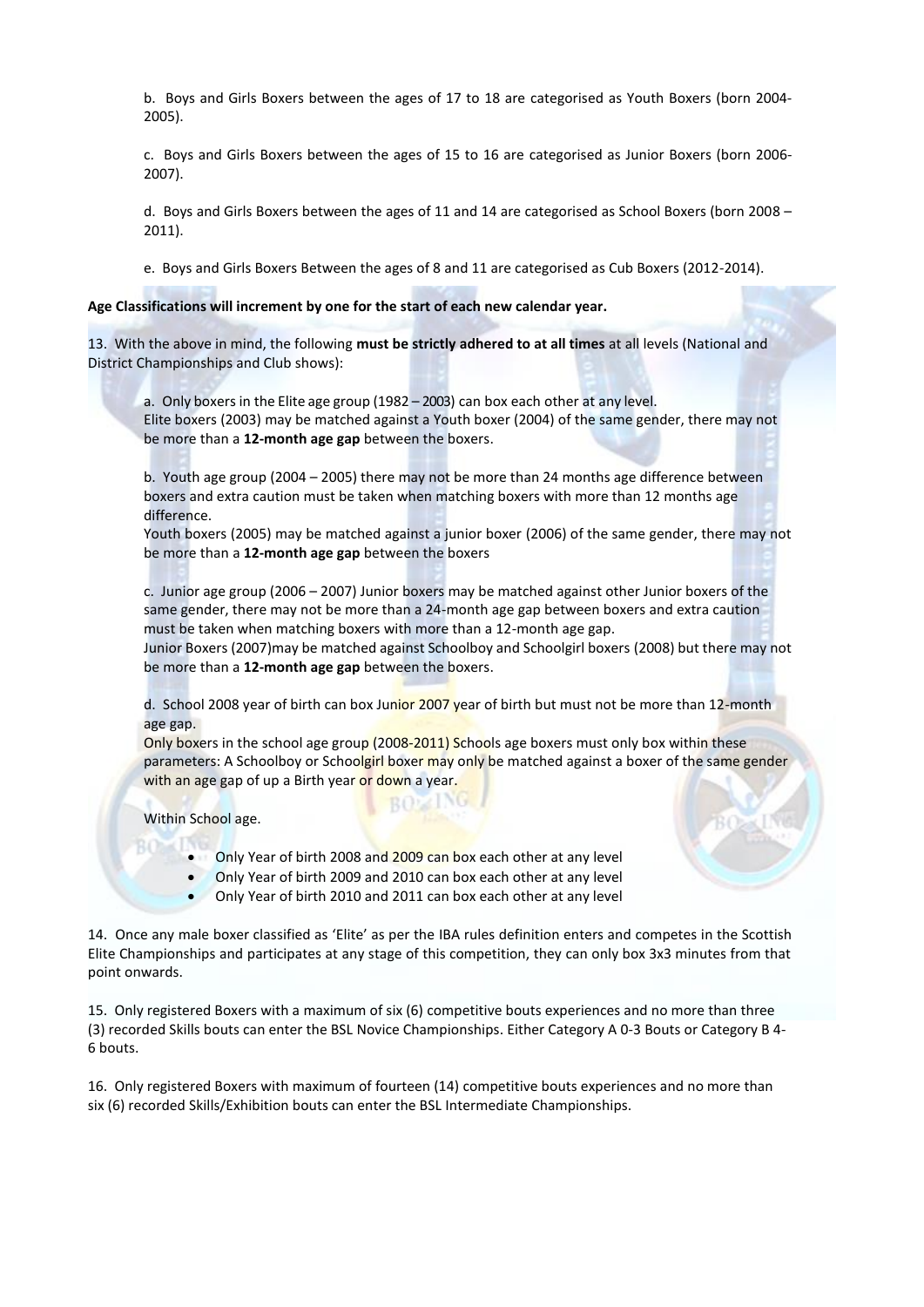b. Boys and Girls Boxers between the ages of 17 to 18 are categorised as Youth Boxers (born 2004- 2005).

c. Boys and Girls Boxers between the ages of 15 to 16 are categorised as Junior Boxers (born 2006- 2007).

d. Boys and Girls Boxers between the ages of 11 and 14 are categorised as School Boxers (born 2008 – 2011).

e. Boys and Girls Boxers Between the ages of 8 and 11 are categorised as Cub Boxers (2012-2014).

**Age Classifications will increment by one for the start of each new calendar year.**

13. With the above in mind, the following **must be strictly adhered to at all times** at all levels (National and District Championships and Club shows):

a. Only boxers in the Elite age group (1982 – 2003) can box each other at any level. Elite boxers (2003) may be matched against a Youth boxer (2004) of the same gender, there may not be more than a **12-month age gap** between the boxers.

b. Youth age group (2004 – 2005) there may not be more than 24 months age difference between boxers and extra caution must be taken when matching boxers with more than 12 months age difference.

Youth boxers (2005) may be matched against a junior boxer (2006) of the same gender, there may not be more than a **12-month age gap** between the boxers

c. Junior age group (2006 – 2007) Junior boxers may be matched against other Junior boxers of the same gender, there may not be more than a 24-month age gap between boxers and extra caution must be taken when matching boxers with more than a 12-month age gap.

Junior Boxers (2007)may be matched against Schoolboy and Schoolgirl boxers (2008) but there may not be more than a **12-month age gap** between the boxers.

d. School 2008 year of birth can box Junior 2007 year of birth but must not be more than 12-month age gap.

Only boxers in the school age group (2008-2011) Schools age boxers must only box within these parameters: A Schoolboy or Schoolgirl boxer may only be matched against a boxer of the same gender with an age gap of up a Birth year or down a year.

Within School age.

**Only Year of birth 2008 and 2009 can box each other at any level** 

**BOZING** 

- Only Year of birth 2009 and 2010 can box each other at any level
- Only Year of birth 2010 and 2011 can box each other at any level

14. Once any male boxer classified as 'Elite' as per the IBA rules definition enters and competes in the Scottish Elite Championships and participates at any stage of this competition, they can only box 3x3 minutes from that point onwards.

15. Only registered Boxers with a maximum of six (6) competitive bouts experiences and no more than three (3) recorded Skills bouts can enter the BSL Novice Championships. Either Category A 0-3 Bouts or Category B 4- 6 bouts.

16. Only registered Boxers with maximum of fourteen (14) competitive bouts experiences and no more than six (6) recorded Skills/Exhibition bouts can enter the BSL Intermediate Championships.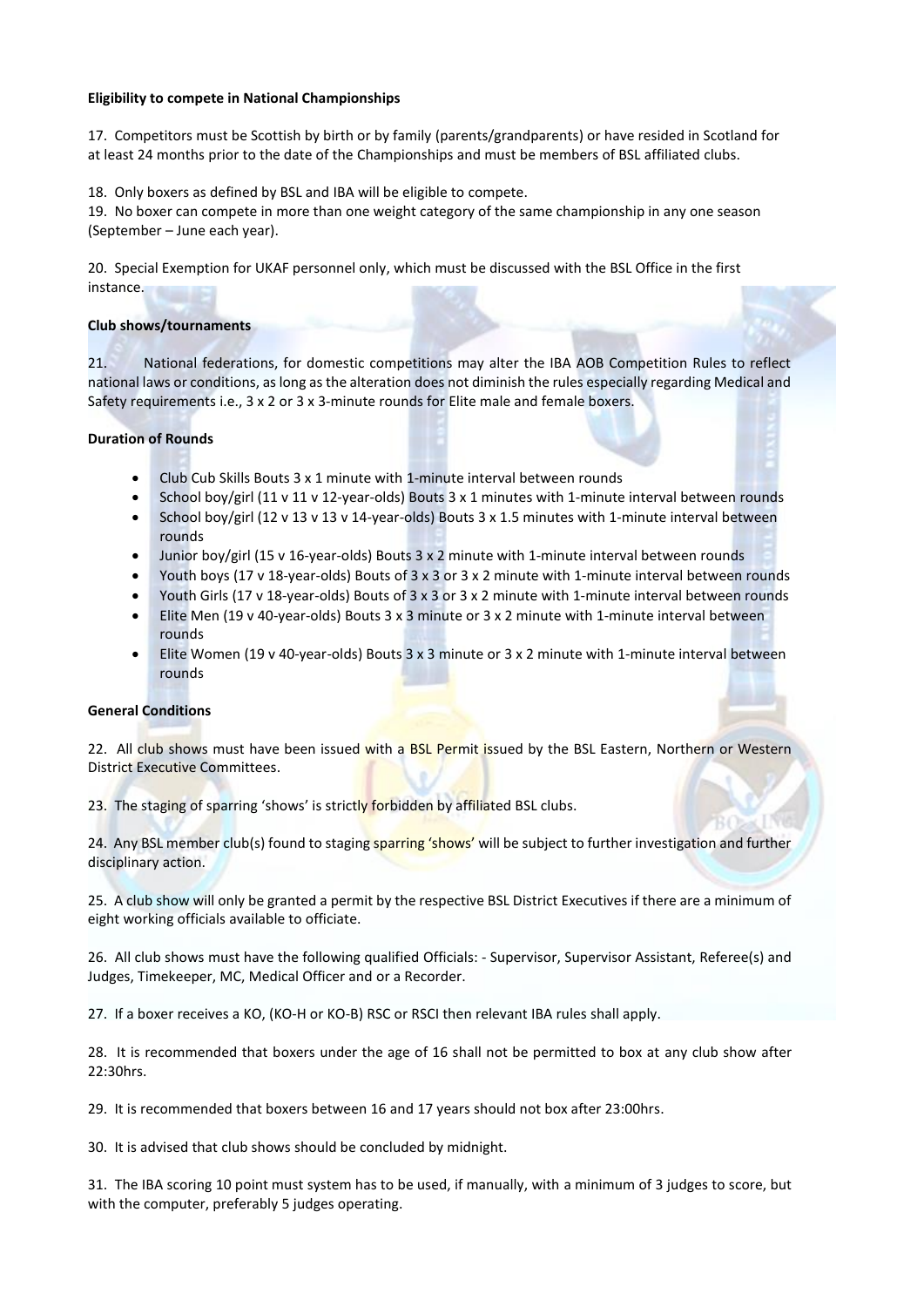## **Eligibility to compete in National Championships**

17. Competitors must be Scottish by birth or by family (parents/grandparents) or have resided in Scotland for at least 24 months prior to the date of the Championships and must be members of BSL affiliated clubs.

18. Only boxers as defined by BSL and IBA will be eligible to compete.

19. No boxer can compete in more than one weight category of the same championship in any one season (September – June each year).

20. Special Exemption for UKAF personnel only, which must be discussed with the BSL Office in the first instance.

## **Club shows/tournaments**

21. National federations, for domestic competitions may alter the IBA AOB Competition Rules to reflect national laws or conditions, as long as the alteration does not diminish the rules especially regarding Medical and Safety requirements i.e., 3 x 2 or 3 x 3-minute rounds for Elite male and female boxers.

# **Duration of Rounds**

- Club Cub Skills Bouts 3 x 1 minute with 1-minute interval between rounds
- School boy/girl (11 v 11 v 12-year-olds) Bouts 3 x 1 minutes with 1-minute interval between rounds
- School boy/girl (12 v 13 v 13 v 14-year-olds) Bouts 3 x 1.5 minutes with 1-minute interval between rounds
- Junior boy/girl (15 v 16-year-olds) Bouts 3 x 2 minute with 1-minute interval between rounds
- Youth boys (17 v 18-year-olds) Bouts of 3 x 3 or 3 x 2 minute with 1-minute interval between rounds
- Youth Girls (17 v 18-year-olds) Bouts of 3 x 3 or 3 x 2 minute with 1-minute interval between rounds
- Elite Men (19 v 40-year-olds) Bouts 3 x 3 minute or 3 x 2 minute with 1-minute interval between rounds
- Elite Women (19 v 40-year-olds) Bouts 3 x 3 minute or 3 x 2 minute with 1-minute interval between rounds

# **General Conditions**

22. All club shows must have been issued with a BSL Permit issued by the BSL Eastern, Northern or Western District Executive Committees.

23. The staging of sparring 'shows' is strictly forbidden by affiliated BSL clubs.

24. Any BSL member club(s) found to staging sparring 'shows' will be subject to further investigation and further disciplinary action.

25. A club show will only be granted a permit by the respective BSL District Executives if there are a minimum of eight working officials available to officiate.

26. All club shows must have the following qualified Officials: - Supervisor, Supervisor Assistant, Referee(s) and Judges, Timekeeper, MC, Medical Officer and or a Recorder.

27. If a boxer receives a KO, (KO-H or KO-B) RSC or RSCI then relevant IBA rules shall apply.

28. It is recommended that boxers under the age of 16 shall not be permitted to box at any club show after 22:30hrs.

29. It is recommended that boxers between 16 and 17 years should not box after 23:00hrs.

30. It is advised that club shows should be concluded by midnight.

31. The IBA scoring 10 point must system has to be used, if manually, with a minimum of 3 judges to score, but with the computer, preferably 5 judges operating.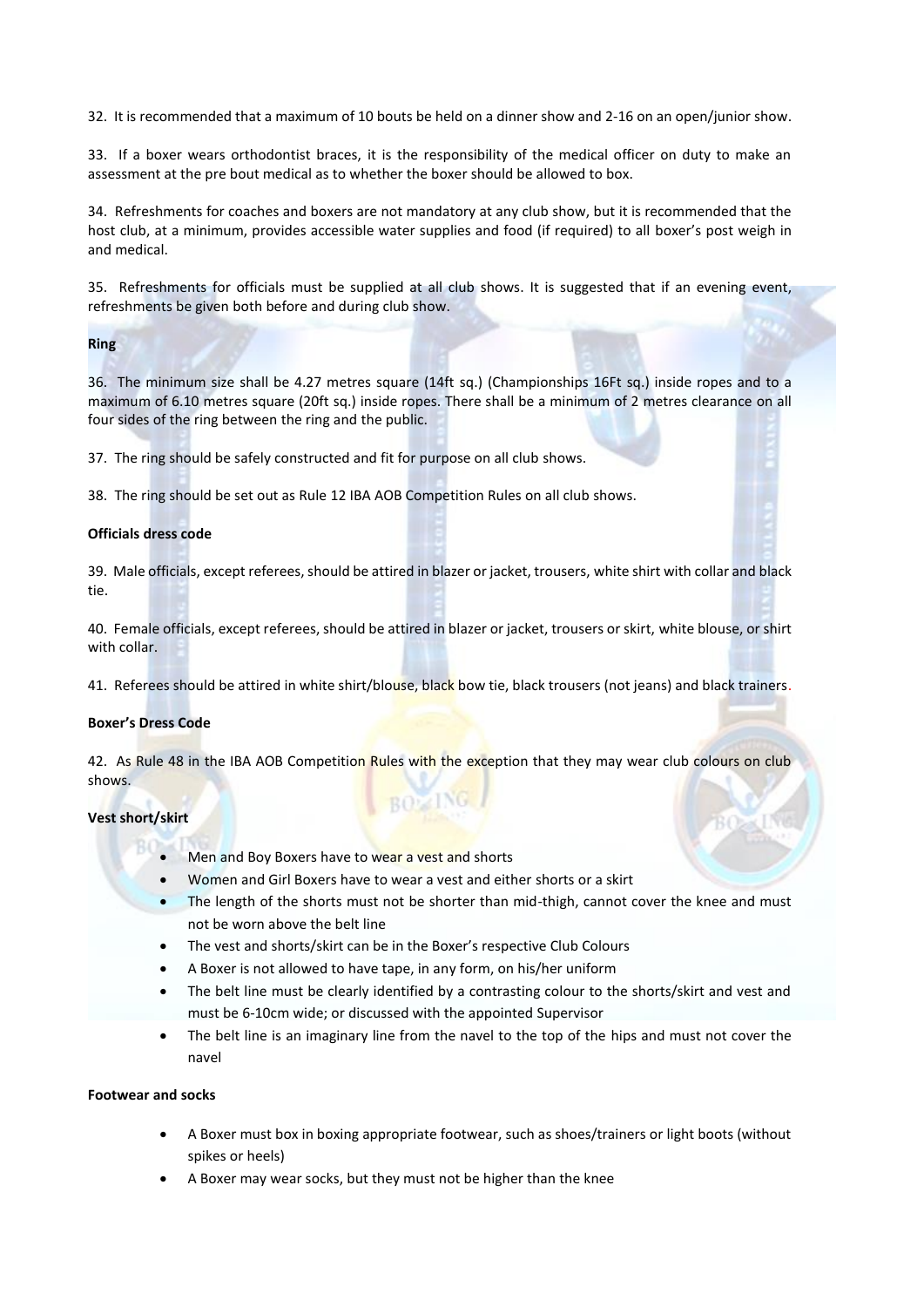32. It is recommended that a maximum of 10 bouts be held on a dinner show and 2-16 on an open/junior show.

33. If a boxer wears orthodontist braces, it is the responsibility of the medical officer on duty to make an assessment at the pre bout medical as to whether the boxer should be allowed to box.

34. Refreshments for coaches and boxers are not mandatory at any club show, but it is recommended that the host club, at a minimum, provides accessible water supplies and food (if required) to all boxer's post weigh in and medical.

35. Refreshments for officials must be supplied at all club shows. It is suggested that if an evening event, refreshments be given both before and during club show.

#### **Ring**

36. The minimum size shall be 4.27 metres square (14ft sq.) (Championships 16Ft sq.) inside ropes and to a maximum of 6.10 metres square (20ft sq.) inside ropes. There shall be a minimum of 2 metres clearance on all four sides of the ring between the ring and the public.

37. The ring should be safely constructed and fit for purpose on all club shows.

38. The ring should be set out as Rule 12 IBA AOB Competition Rules on all club shows.

# **Officials dress code**

39. Male officials, except referees, should be attired in blazer or jacket, trousers, white shirt with collar and black tie.

40. Female officials, except referees, should be attired in blazer or jacket, trousers or skirt, white blouse, or shirt with collar.

41. Referees should be attired in white shirt/blouse, black bow tie, black trousers (not jeans) and black trainers.

#### **Boxer's Dress Code**

42. As Rule 48 in the IBA AOB Competition Rules with the exception that they may wear club colours on club shows. **BOZING** 

## **Vest short/skirt**

- Men and Boy Boxers have to wear a vest and shorts
- Women and Girl Boxers have to wear a vest and either shorts or a skirt
- The length of the shorts must not be shorter than mid-thigh, cannot cover the knee and must not be worn above the belt line
- The vest and shorts/skirt can be in the Boxer's respective Club Colours
- A Boxer is not allowed to have tape, in any form, on his/her uniform
- The belt line must be clearly identified by a contrasting colour to the shorts/skirt and vest and must be 6-10cm wide; or discussed with the appointed Supervisor
- The belt line is an imaginary line from the navel to the top of the hips and must not cover the navel

## **Footwear and socks**

- A Boxer must box in boxing appropriate footwear, such as shoes/trainers or light boots (without spikes or heels)
- A Boxer may wear socks, but they must not be higher than the knee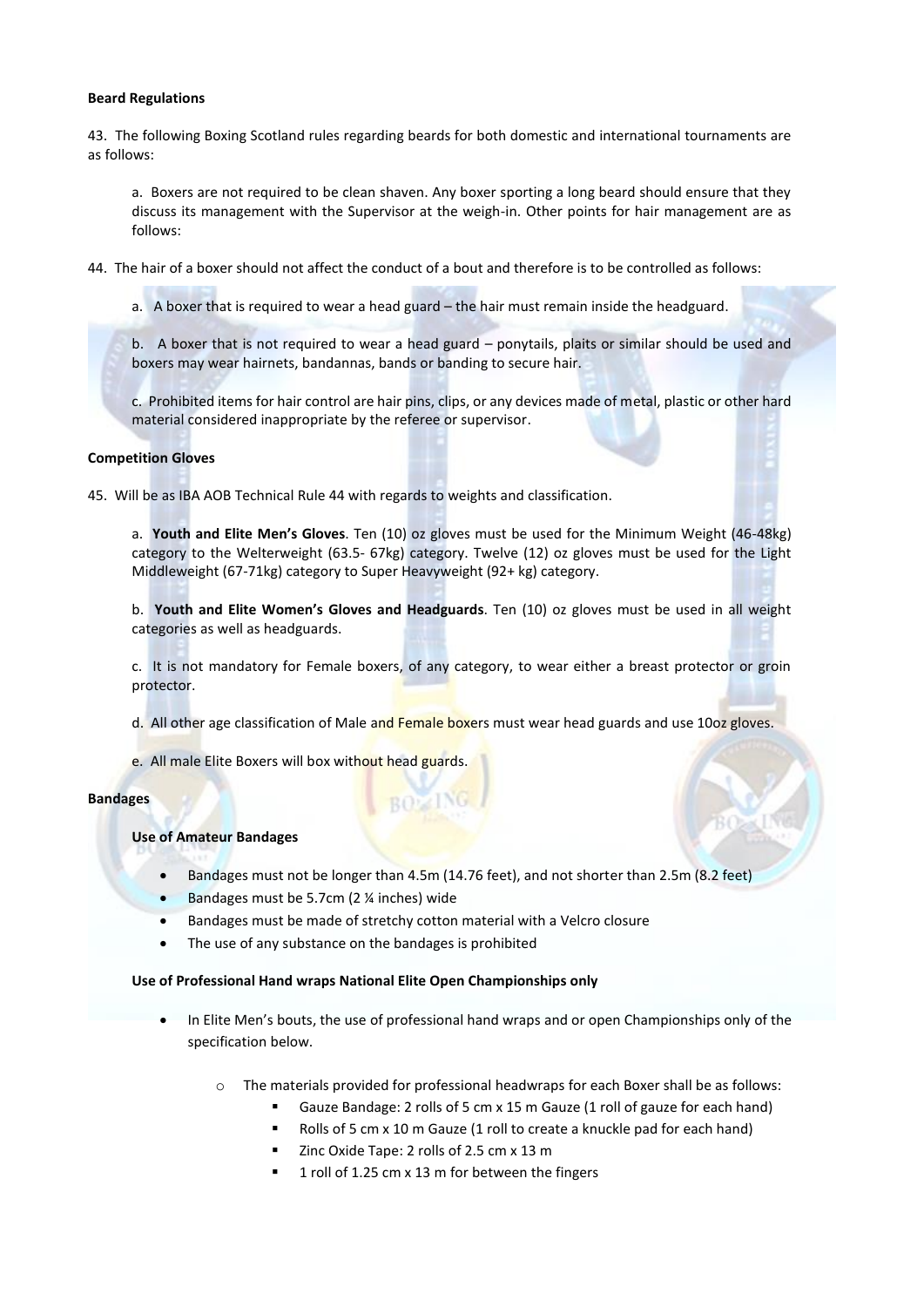#### **Beard Regulations**

43. The following Boxing Scotland rules regarding beards for both domestic and international tournaments are as follows:

a. Boxers are not required to be clean shaven. Any boxer sporting a long beard should ensure that they discuss its management with the Supervisor at the weigh-in. Other points for hair management are as follows:

- 44. The hair of a boxer should not affect the conduct of a bout and therefore is to be controlled as follows:
	- a. A boxer that is required to wear a head guard the hair must remain inside the headguard.
	- b. A boxer that is not required to wear a head guard ponytails, plaits or similar should be used and boxers may wear hairnets, bandannas, bands or banding to secure hair.

c. Prohibited items for hair control are hair pins, clips, or any devices made of metal, plastic or other hard material considered inappropriate by the referee or supervisor.

#### **Competition Gloves**

45. Will be as IBA AOB Technical Rule 44 with regards to weights and classification.

a. **Youth and Elite Men's Gloves**. Ten (10) oz gloves must be used for the Minimum Weight (46-48kg) category to the Welterweight (63.5- 67kg) category. Twelve (12) oz gloves must be used for the Light Middleweight (67-71kg) category to Super Heavyweight (92+ kg) category.

b. **Youth and Elite Women's Gloves and Headguards**. Ten (10) oz gloves must be used in all weight categories as well as headguards.

c. It is not mandatory for Female boxers, of any category, to wear either a breast protector or groin protector.

- d. All other age classification of Male and Female boxers must wear head guards and use 10oz gloves.
- e. All male Elite Boxers will box without head guards.

#### **Bandages**

## **Use of Amateur Bandages**

• Bandages must not be longer than 4.5m (14.76 feet), and not shorter than 2.5m (8.2 feet)

**BOZING** 

- Bandages must be 5.7cm (2 % inches) wide
- Bandages must be made of stretchy cotton material with a Velcro closure
- The use of any substance on the bandages is prohibited

#### **Use of Professional Hand wraps National Elite Open Championships only**

- In Elite Men's bouts, the use of professional hand wraps and or open Championships only of the specification below.
	- o The materials provided for professional headwraps for each Boxer shall be as follows:
		- Gauze Bandage: 2 rolls of 5 cm x 15 m Gauze (1 roll of gauze for each hand)
		- Rolls of 5 cm x 10 m Gauze (1 roll to create a knuckle pad for each hand)
		- Zinc Oxide Tape: 2 rolls of 2.5 cm x 13 m
		- 1 roll of 1.25 cm x 13 m for between the fingers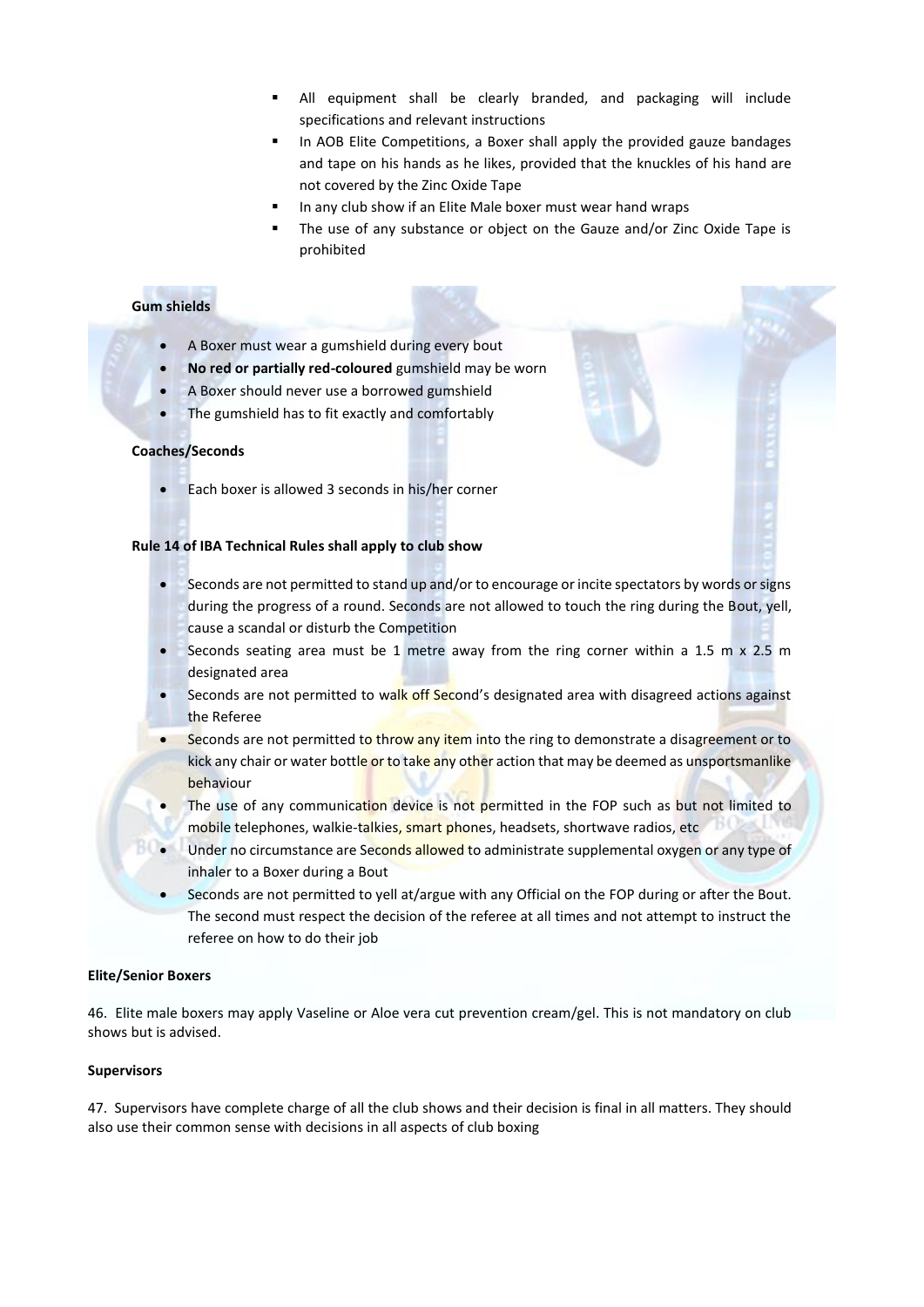- All equipment shall be clearly branded, and packaging will include specifications and relevant instructions
- In AOB Elite Competitions, a Boxer shall apply the provided gauze bandages and tape on his hands as he likes, provided that the knuckles of his hand are not covered by the Zinc Oxide Tape
- In any club show if an Elite Male boxer must wear hand wraps
- The use of any substance or object on the Gauze and/or Zinc Oxide Tape is prohibited

# **Gum shields**

- A Boxer must wear a gumshield during every bout
- **No red or partially red-coloured** gumshield may be worn
- A Boxer should never use a borrowed gumshield
- The gumshield has to fit exactly and comfortably

#### **Coaches/Seconds**

• Each boxer is allowed 3 seconds in his/her corner

#### **Rule 14 of IBA Technical Rules shall apply to club show**

- Seconds are not permitted to stand up and/or to encourage or incite spectators by words or signs during the progress of a round. Seconds are not allowed to touch the ring during the Bout, yell, cause a scandal or disturb the Competition
- **Seconds seating area must be 1 metre away from the ring corner within a 1.5 m**  $\times$  **2.5 m** designated area
- Seconds are not permitted to walk off Second's designated area with disagreed actions against the Referee
- Seconds are not permitted to throw any item into the ring to demonstrate a disagreement or to kick any chair or water bottle or to take any other action that may be deemed as unsportsmanlike behaviour
- The use of any communication device is not permitted in the FOP such as but not limited to mobile telephones, walkie-talkies, smart phones, headsets, shortwave radios, etc
- Under no circumstance are Seconds allowed to administrate supplemental oxygen or any type of inhaler to a Boxer during a Bout
- Seconds are not permitted to yell at/argue with any Official on the FOP during or after the Bout. The second must respect the decision of the referee at all times and not attempt to instruct the referee on how to do their job

#### **Elite/Senior Boxers**

46. Elite male boxers may apply Vaseline or Aloe vera cut prevention cream/gel. This is not mandatory on club shows but is advised.

#### **Supervisors**

47. Supervisors have complete charge of all the club shows and their decision is final in all matters. They should also use their common sense with decisions in all aspects of club boxing